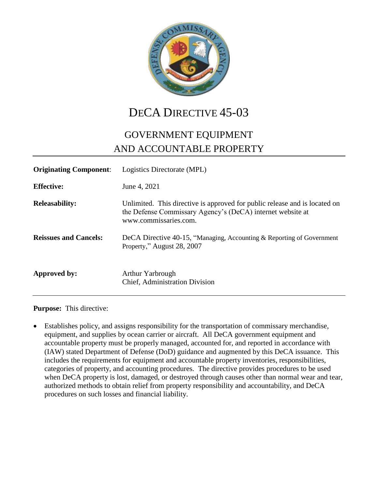

# DECA DIRECTIVE 45-03

## GOVERNMENT EQUIPMENT AND ACCOUNTABLE PROPERTY

| <b>Originating Component:</b> | Logistics Directorate (MPL)                                                                                                                                       |
|-------------------------------|-------------------------------------------------------------------------------------------------------------------------------------------------------------------|
| <b>Effective:</b>             | June 4, 2021                                                                                                                                                      |
| <b>Releasability:</b>         | Unlimited. This directive is approved for public release and is located on<br>the Defense Commissary Agency's (DeCA) internet website at<br>www.commissaries.com. |
| <b>Reissues and Cancels:</b>  | DeCA Directive 40-15, "Managing, Accounting & Reporting of Government<br>Property," August 28, 2007                                                               |
| Approved by:                  | <b>Arthur Yarbrough</b><br>Chief, Administration Division                                                                                                         |

**Purpose:** This directive:

• Establishes policy, and assigns responsibility for the transportation of commissary merchandise, equipment, and supplies by ocean carrier or aircraft. All DeCA government equipment and accountable property must be properly managed, accounted for, and reported in accordance with (IAW) stated Department of Defense (DoD) guidance and augmented by this DeCA issuance. This includes the requirements for equipment and accountable property inventories, responsibilities, categories of property, and accounting procedures. The directive provides procedures to be used when DeCA property is lost, damaged, or destroyed through causes other than normal wear and tear, authorized methods to obtain relief from property responsibility and accountability, and DeCA procedures on such losses and financial liability.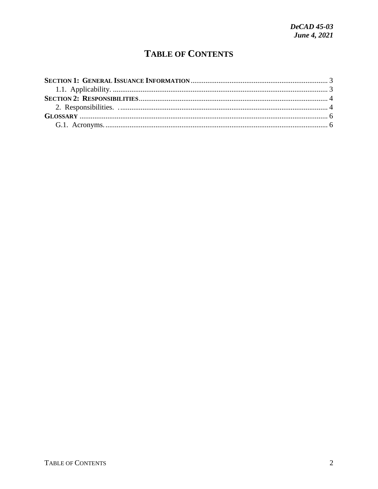## **TABLE OF CONTENTS**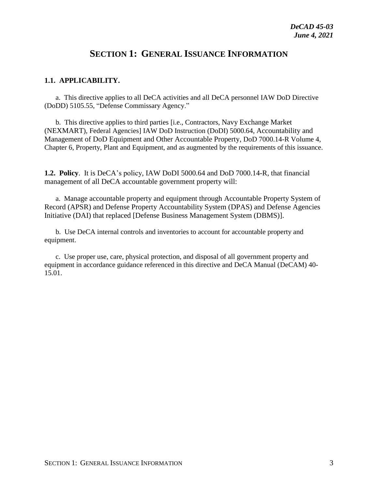### **SECTION 1: GENERAL ISSUANCE INFORMATION**

#### <span id="page-2-1"></span><span id="page-2-0"></span>**1.1. APPLICABILITY.**

a. This directive applies to all DeCA activities and all DeCA personnel IAW DoD Directive (DoDD) 5105.55, "Defense Commissary Agency."

b. This directive applies to third parties [i.e., Contractors, Navy Exchange Market (NEXMART), Federal Agencies] IAW DoD Instruction (DoDI) 5000.64, Accountability and Management of DoD Equipment and Other Accountable Property, DoD 7000.14-R Volume 4, Chapter 6, Property, Plant and Equipment, and as augmented by the requirements of this issuance.

**1.2. Policy**. It is DeCA's policy, IAW DoDI 5000.64 and DoD 7000.14-R, that financial management of all DeCA accountable government property will:

a. Manage accountable property and equipment through Accountable Property System of Record (APSR) and Defense Property Accountability System (DPAS) and Defense Agencies Initiative (DAI) that replaced [Defense Business Management System (DBMS)].

b. Use DeCA internal controls and inventories to account for accountable property and equipment.

c. Use proper use, care, physical protection, and disposal of all government property and equipment in accordance guidance referenced in this directive and DeCA Manual (DeCAM) 40- 15.01.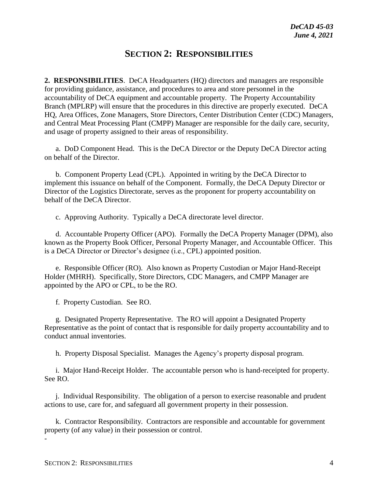### **SECTION 2: RESPONSIBILITIES**

<span id="page-3-1"></span><span id="page-3-0"></span>**2. RESPONSIBILITIES**. DeCA Headquarters (HQ) directors and managers are responsible for providing guidance, assistance, and procedures to area and store personnel in the accountability of DeCA equipment and accountable property. The Property Accountability Branch (MPLRP) will ensure that the procedures in this directive are properly executed. DeCA HQ, Area Offices, Zone Managers, Store Directors, Center Distribution Center (CDC) Managers, and Central Meat Processing Plant (CMPP) Manager are responsible for the daily care, security, and usage of property assigned to their areas of responsibility.

a. DoD Component Head. This is the DeCA Director or the Deputy DeCA Director acting on behalf of the Director.

b. Component Property Lead (CPL). Appointed in writing by the DeCA Director to implement this issuance on behalf of the Component. Formally, the DeCA Deputy Director or Director of the Logistics Directorate, serves as the proponent for property accountability on behalf of the DeCA Director.

c. Approving Authority. Typically a DeCA directorate level director.

d. Accountable Property Officer (APO). Formally the DeCA Property Manager (DPM), also known as the Property Book Officer, Personal Property Manager, and Accountable Officer. This is a DeCA Director or Director's designee (i.e., CPL) appointed position.

e. Responsible Officer (RO). Also known as Property Custodian or Major Hand-Receipt Holder (MHRH). Specifically, Store Directors, CDC Managers, and CMPP Manager are appointed by the APO or CPL, to be the RO.

f. Property Custodian. See RO.

g. Designated Property Representative. The RO will appoint a Designated Property Representative as the point of contact that is responsible for daily property accountability and to conduct annual inventories.

h. Property Disposal Specialist. Manages the Agency's property disposal program.

i. Major Hand-Receipt Holder. The accountable person who is hand-receipted for property. See RO.

j. Individual Responsibility. The obligation of a person to exercise reasonable and prudent actions to use, care for, and safeguard all government property in their possession.

k. Contractor Responsibility. Contractors are responsible and accountable for government property (of any value) in their possession or control. -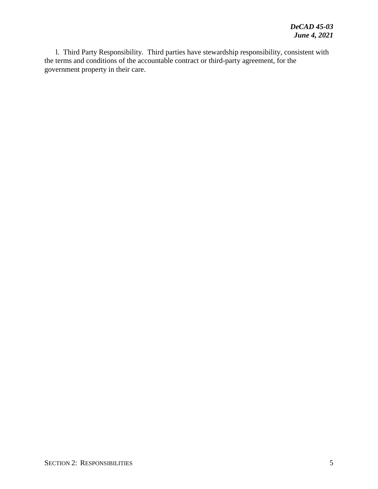l. Third Party Responsibility. Third parties have stewardship responsibility, consistent with the terms and conditions of the accountable contract or third-party agreement, for the government property in their care.